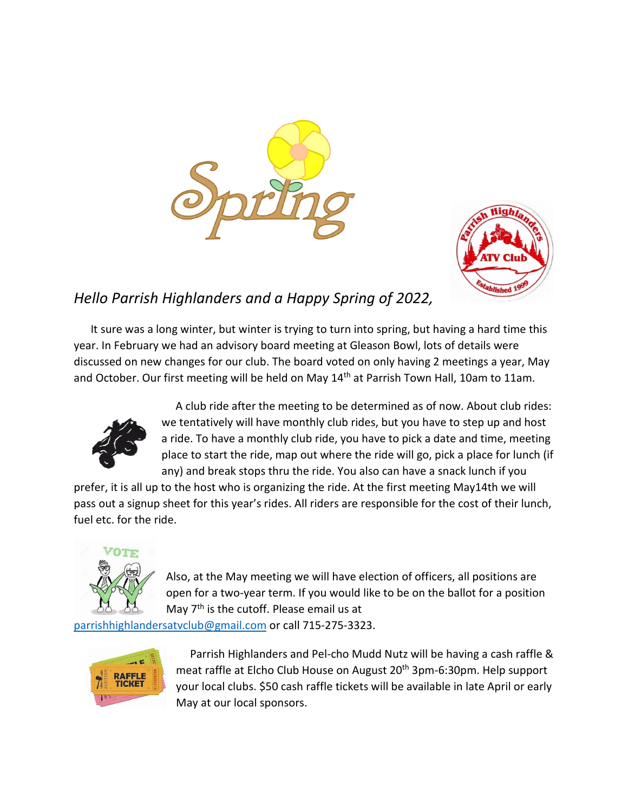



# *Hello Parrish Highlanders and a Happy Spring of 2022,*

 It sure was a long winter, but winter is trying to turn into spring, but having a hard time this year. In February we had an advisory board meeting at Gleason Bowl, lots of details were discussed on new changes for our club. The board voted on only having 2 meetings a year, May and October. Our first meeting will be held on May 14<sup>th</sup> at Parrish Town Hall, 10am to 11am.



 A club ride after the meeting to be determined as of now. About club rides: we tentatively will have monthly club rides, but you have to step up and host a ride. To have a monthly club ride, you have to pick a date and time, meeting place to start the ride, map out where the ride will go, pick a place for lunch (if any) and break stops thru the ride. You also can have a snack lunch if you

prefer, it is all up to the host who is organizing the ride. At the first meeting May14th we will pass out a signup sheet for this year's rides. All riders are responsible for the cost of their lunch, fuel etc. for the ride.



Also, at the May meeting we will have election of officers, all positions are open for a two-year term. If you would like to be on the ballot for a position May 7<sup>th</sup> is the cutoff. Please email us at

[parrishhighlandersatvclub@gmail.com](mailto:parrishhighlandersatvclub@gmail.com) or call 715-275-3323.



 Parrish Highlanders and Pel-cho Mudd Nutz will be having a cash raffle & meat raffle at Elcho Club House on August 20<sup>th</sup> 3pm-6:30pm. Help support your local clubs. \$50 cash raffle tickets will be available in late April or early May at our local sponsors.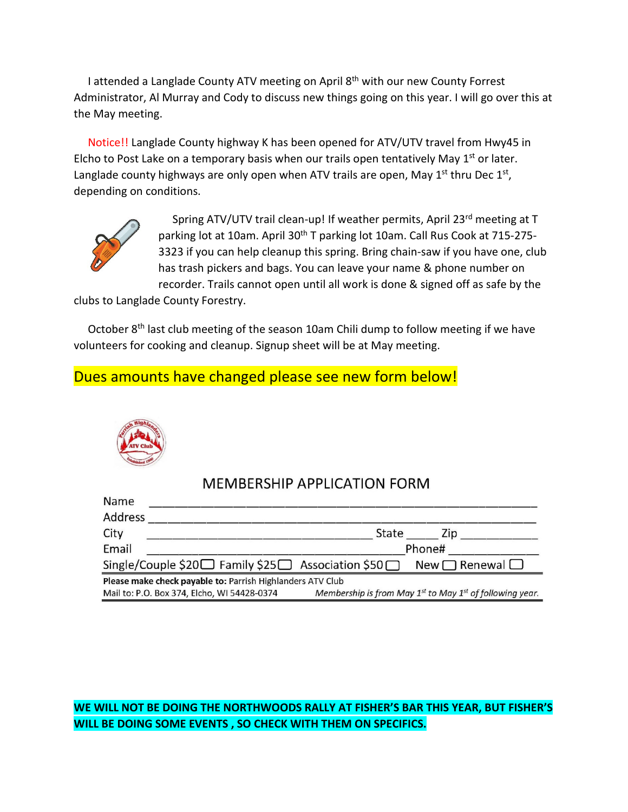I attended a Langlade County ATV meeting on April 8<sup>th</sup> with our new County Forrest Administrator, Al Murray and Cody to discuss new things going on this year. I will go over this at the May meeting.

 Notice!! Langlade County highway K has been opened for ATV/UTV travel from Hwy45 in Elcho to Post Lake on a temporary basis when our trails open tentatively May  $1<sup>st</sup>$  or later. Langlade county highways are only open when ATV trails are open, May  $1^{st}$  thru Dec  $1^{st}$ , depending on conditions.



Spring ATV/UTV trail clean-up! If weather permits, April 23rd meeting at T parking lot at 10am. April 30<sup>th</sup> T parking lot 10am. Call Rus Cook at 715-275-3323 if you can help cleanup this spring. Bring chain-saw if you have one, club has trash pickers and bags. You can leave your name & phone number on recorder. Trails cannot open until all work is done & signed off as safe by the

clubs to Langlade County Forestry.

October 8<sup>th</sup> last club meeting of the season 10am Chili dump to follow meeting if we have volunteers for cooking and cleanup. Signup sheet will be at May meeting.

## Dues amounts have changed please see new form below!



### **MEMBERSHIP APPLICATION FORM**

| Name                                                               |        |                                                                    |
|--------------------------------------------------------------------|--------|--------------------------------------------------------------------|
| <b>Address</b>                                                     |        |                                                                    |
| City                                                               | State  | Zip                                                                |
| Email                                                              | Phone# |                                                                    |
| Single/Couple \$20□ Family \$25□ Association \$50□ New □ Renewal □ |        |                                                                    |
| Please make check payable to: Parrish Highlanders ATV Club         |        |                                                                    |
| Mail to: P.O. Box 374, Elcho, WI 54428-0374                        |        | Membership is from May $1^{st}$ to May $1^{st}$ of following year. |

### **WE WILL NOT BE DOING THE NORTHWOODS RALLY AT FISHER'S BAR THIS YEAR, BUT FISHER'S WILL BE DOING SOME EVENTS , SO CHECK WITH THEM ON SPECIFICS.**